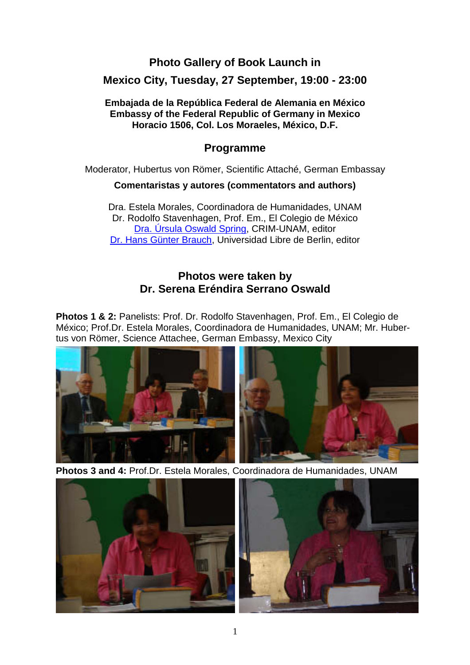## **Photo Gallery of Book Launch in**

#### **Mexico City, Tuesday, 27 September, 19:00 - 23:00**

#### **Embajada de la República Federal de Alemania en México Embassy of the Federal Republic of Germany in Mexico Horacio 1506, Col. Los Moraeles, México, D.F.**

### **Programme**

Moderator, Hubertus von Römer, Scientific Attaché, German Embassay

#### **Comentaristas y autores (commentators and authors)**

Dra. Estela Morales, Coordinadora de Humanidades, UNAM Dr. Rodolfo Stavenhagen, Prof. Em., El Colegio de México Dra. Úrsula Oswald Spring, CRIM-UNAM, editor Dr. Hans Günter Brauch, Universidad Libre de Berlin, editor

## **Photos were taken by Dr. Serena Eréndira Serrano Oswald**

**Photos 1 & 2:** Panelists: Prof. Dr. Rodolfo Stavenhagen, Prof. Em., El Colegio de México; Prof.Dr. Estela Morales, Coordinadora de Humanidades, UNAM; Mr. Hubertus von Römer, Science Attachee, German Embassy, Mexico City



**Photos 3 and 4:** Prof.Dr. Estela Morales, Coordinadora de Humanidades, UNAM



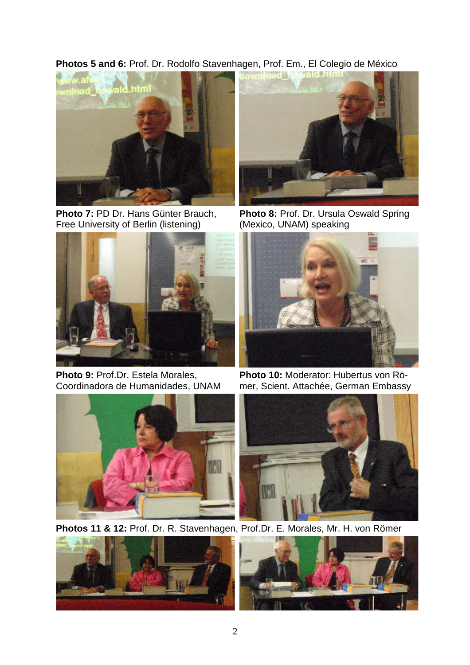**Photos 5 and 6:** Prof. Dr. Rodolfo Stavenhagen, Prof. Em., El Colegio de México



**Photo 7:** PD Dr. Hans Günter Brauch, Free University of Berlin (listening)



Photo 9: Prof.Dr. Estela Morales, Coordinadora de Humanidades, UNAM





**Photo 8:** Prof. Dr. Ursula Oswald Spring (Mexico, UNAM) speaking



**Photo 10:** Moderator: Hubertus von Römer, Scient. Attachée, German Embassy



**Photos 11 & 12:** Prof. Dr. R. Stavenhagen, Prof.Dr. E. Morales, Mr. H. von Römer